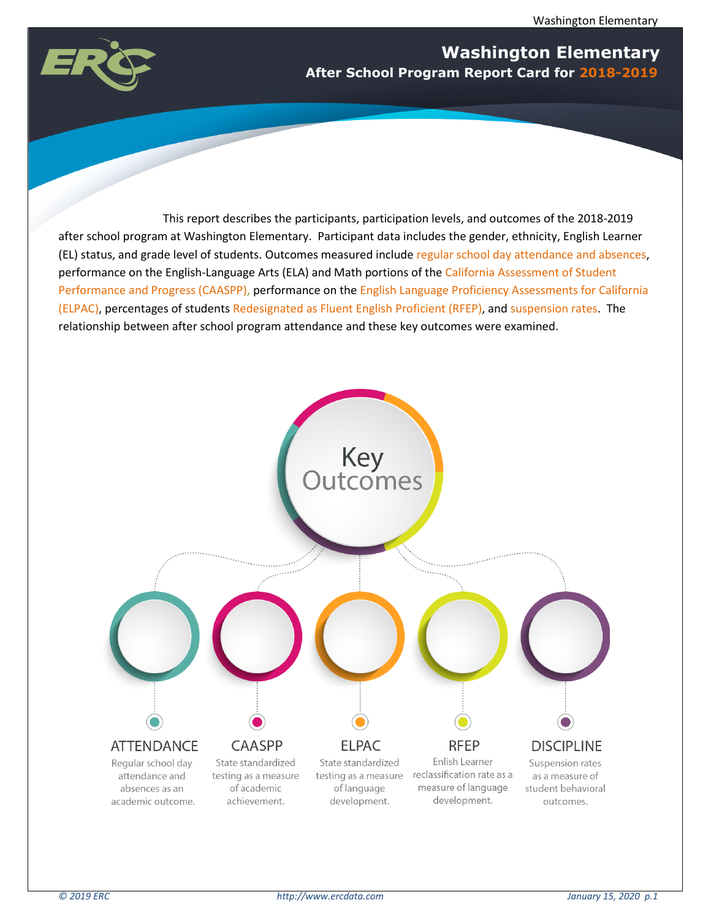

# **Washington Elementary After School Program Report Card for 2018-2019**

This report describes the participants, participation levels, and outcomes of the 2018-2019 after school program at Washington Elementary. Participant data includes the gender, ethnicity, English Learner (EL) status, and grade level of students. Outcomes measured include regular school day attendance and absences, performance on the English-Language Arts (ELA) and Math portions of the California Assessment of Student Performance and Progress (CAASPP), performance on the English Language Proficiency Assessments for California (ELPAC), percentages of students Redesignated as Fluent English Proficient (RFEP), and suspension rates. The relationship between after school program attendance and these key outcomes were examined.

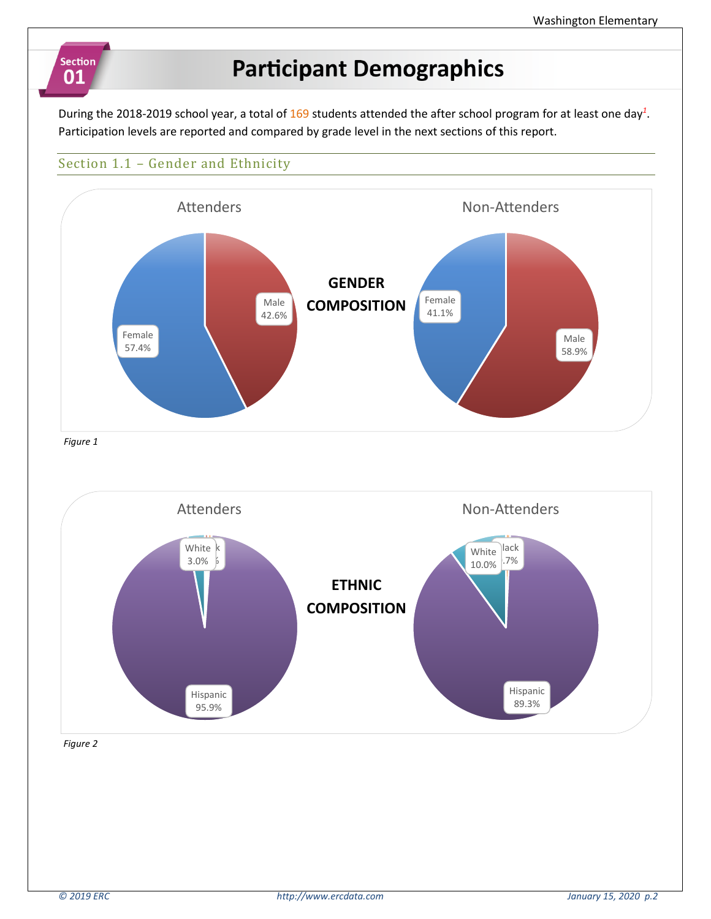# **Participant Demographics**

During the 2018-2019 school year, a total of 169 students attended the after school program for at least one day*<sup>1</sup>* . Participation levels are reported and compared by grade level in the next sections of this report.

# Section 1.1 – Gender and Ethnicity

**Section** 

01



*Figure 2*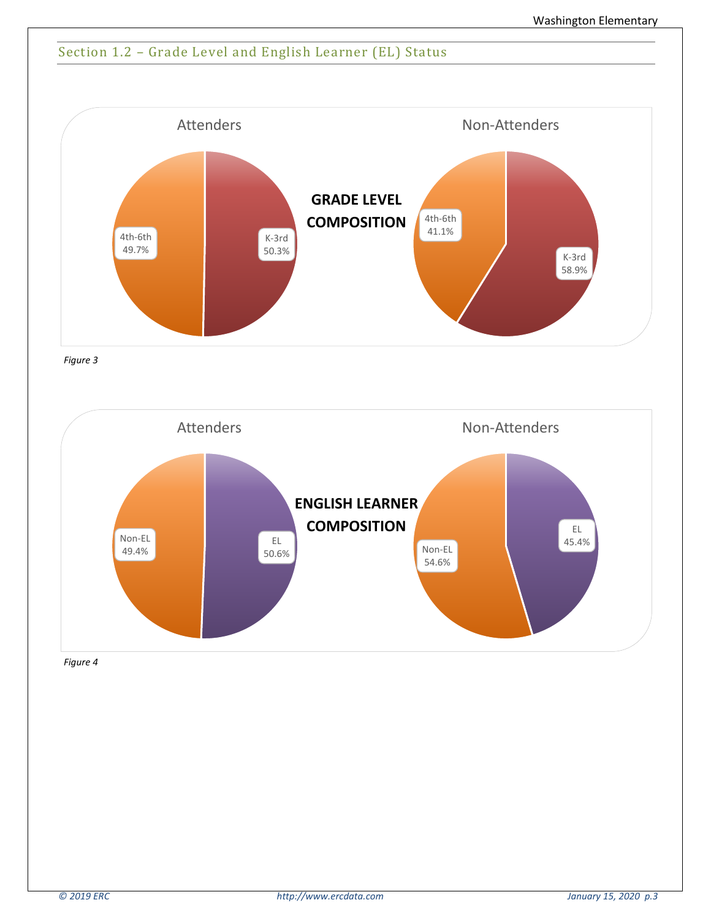# Section 1.2 – Grade Level and English Learner (EL) Status



*Figure 3*

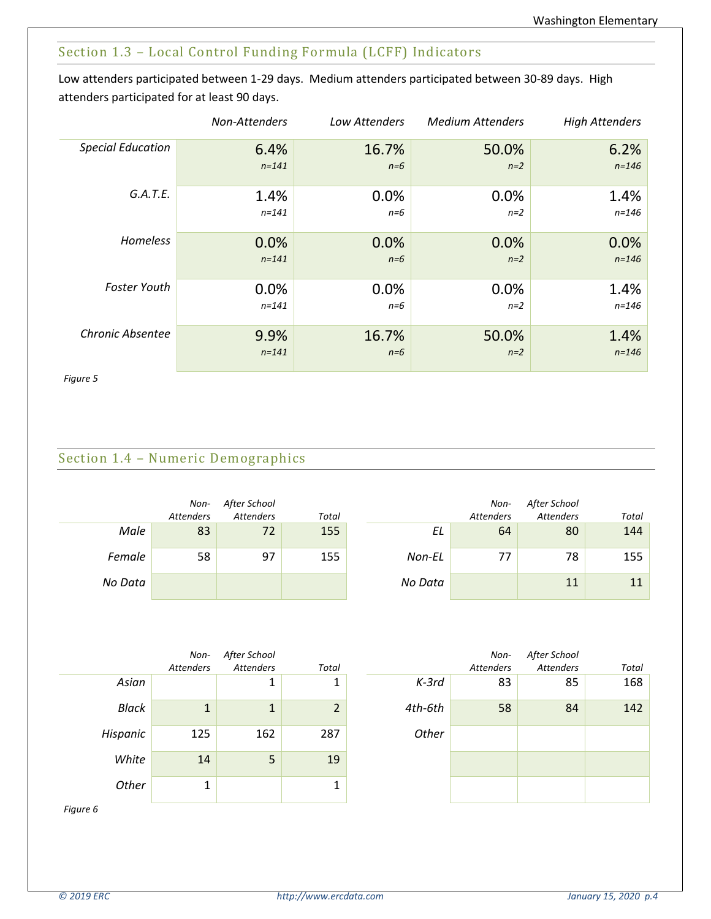# Section 1.3 – Local Control Funding Formula (LCFF) Indicators

Low attenders participated between 1-29 days. Medium attenders participated between 30-89 days. High attenders participated for at least 90 days.

|                          | Non-Attenders | <b>Low Attenders</b> | <b>Medium Attenders</b> | <b>High Attenders</b> |
|--------------------------|---------------|----------------------|-------------------------|-----------------------|
| <b>Special Education</b> | 6.4%          | 16.7%                | 50.0%                   | 6.2%                  |
|                          | $n = 141$     | $n=6$                | $n=2$                   | $n = 146$             |
| G.A.T.E.                 | 1.4%          | 0.0%                 | 0.0%                    | 1.4%                  |
|                          | $n = 141$     | $n=6$                | $n=2$                   | $n = 146$             |
| Homeless                 | 0.0%          | 0.0%                 | 0.0%                    | 0.0%                  |
|                          | $n = 141$     | $n=6$                | $n=2$                   | $n = 146$             |
| <b>Foster Youth</b>      | 0.0%          | 0.0%                 | 0.0%                    | 1.4%                  |
|                          | $n = 141$     | $n=6$                | $n=2$                   | $n = 146$             |
| <b>Chronic Absentee</b>  | 9.9%          | 16.7%                | 50.0%                   | 1.4%                  |
|                          | $n = 141$     | $n=6$                | $n=2$                   | $n = 146$             |

*Figure 5*

# Section 1.4 – Numeric Demographics

|         | Non-<br><b>Attenders</b> | After School<br><b>Attenders</b> | Total |         | Non-<br><b>Attenders</b> | After School<br><b>Attenders</b> | Total |
|---------|--------------------------|----------------------------------|-------|---------|--------------------------|----------------------------------|-------|
| Male    | 83                       | 72                               | 155   | EL      | 64                       | 80                               | 144   |
| Female  | 58                       | 97                               | 155   | Non-EL  | 77                       | 78                               | 155   |
| No Data |                          |                                  |       | No Data |                          | 11                               | 11    |

|          | Non-         | After School       |                |         | Non-      | After School     |       |
|----------|--------------|--------------------|----------------|---------|-----------|------------------|-------|
|          | Attenders    | <b>Attenders</b>   | Total          |         | Attenders | <b>Attenders</b> | Total |
| Asian    |              | $\mathbf{1}$<br>Ŧ. | 1              | $K-3rd$ | 83        | 85               | 168   |
| Black    | $\mathbf{1}$ | $\mathbf{1}$       | $\overline{2}$ | 4th-6th | 58        | 84               | 142   |
| Hispanic | 125          | 162                | 287            | Other   |           |                  |       |
| White    | 14           | 5                  | 19             |         |           |                  |       |
| Other    | 1            |                    |                |         |           |                  |       |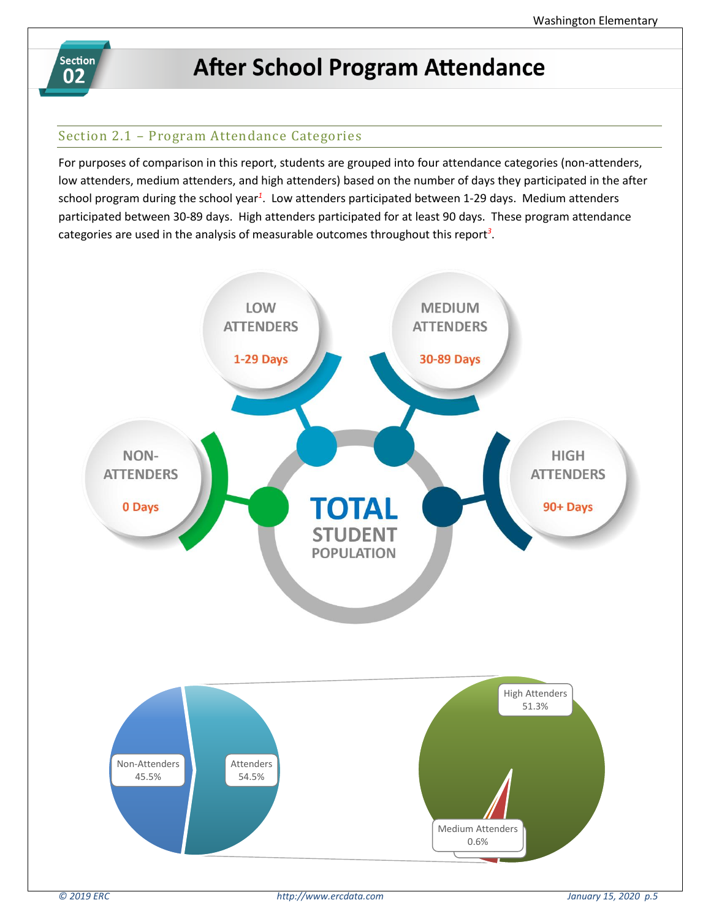

# **After School Program Attendance**

# Section 2.1 – Program Attendance Categories

For purposes of comparison in this report, students are grouped into four attendance categories (non-attenders, low attenders, medium attenders, and high attenders) based on the number of days they participated in the after school program during the school year*<sup>1</sup>* . Low attenders participated between 1-29 days. Medium attenders participated between 30-89 days. High attenders participated for at least 90 days. These program attendance categories are used in the analysis of measurable outcomes throughout this report*<sup>3</sup>* .

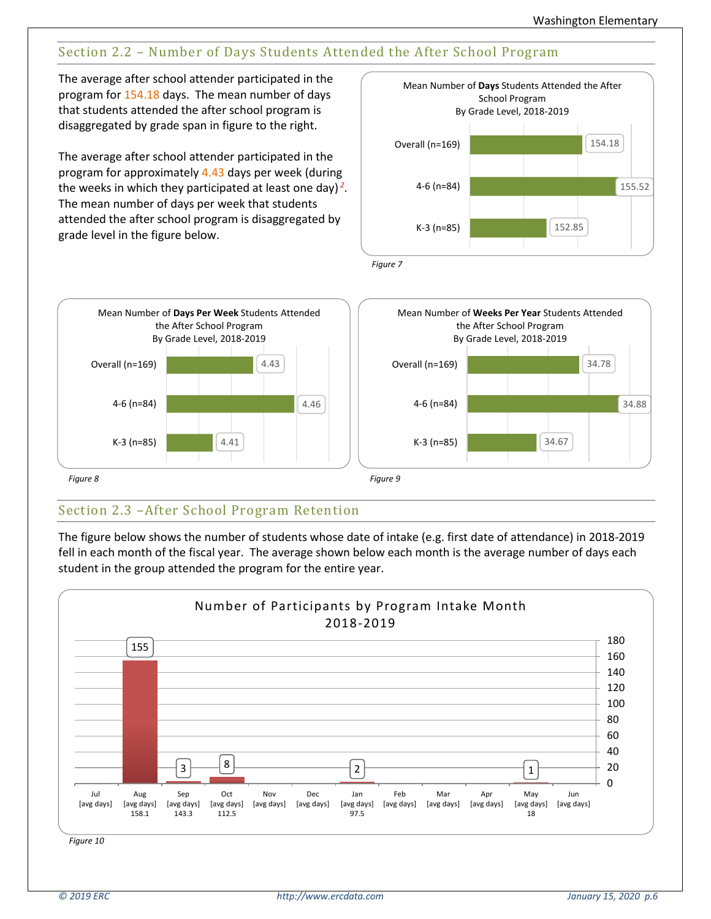# Section 2.2 – Number of Days Students Attended the After School Program

The average after school attender participated in the program for 154.18 days. The mean number of days that students attended the after school program is disaggregated by grade span in figure to the right.

The average after school attender participated in the program for approximately 4.43 days per week (during the weeks in which they participated at least one day) *<sup>2</sup>* . The mean number of days per week that students attended the after school program is disaggregated by grade level in the figure below.



*Figure 8 Figure 9* 4.41 4.46 4.43 K-3 (n=85) 4-6 (n=84) Overall (n=169) Mean Number of **Days Per Week** Students Attended the After School Program By Grade Level, 2018-2019 34.67 34.88 34.78 K-3 (n=85) 4-6 (n=84) Overall (n=169) Mean Number of **Weeks Per Year** Students Attended the After School Program By Grade Level, 2018-2019

# Section 2.3 –After School Program Retention

The figure below shows the number of students whose date of intake (e.g. first date of attendance) in 2018-2019 fell in each month of the fiscal year. The average shown below each month is the average number of days each student in the group attended the program for the entire year.

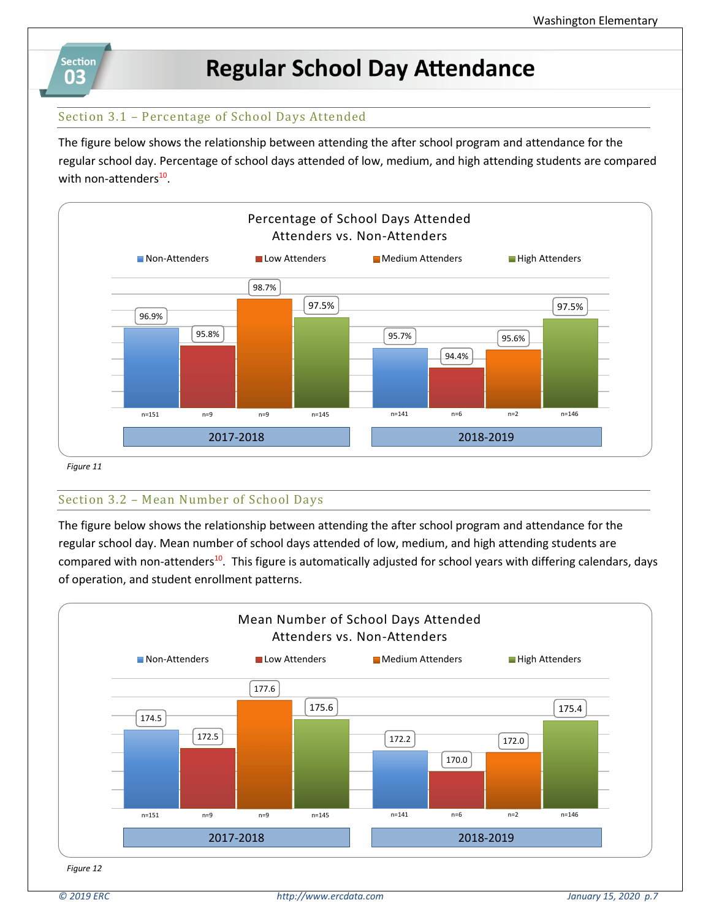

**Regular School Day Attendance** 

### Section 3.1 – Percentage of School Days Attended

The figure below shows the relationship between attending the after school program and attendance for the regular school day. Percentage of school days attended of low, medium, and high attending students are compared with non-attenders<sup>10</sup>.



 *Figure 11*

#### Section 3.2 – Mean Number of School Days

The figure below shows the relationship between attending the after school program and attendance for the regular school day. Mean number of school days attended of low, medium, and high attending students are compared with non-attenders<sup>10</sup>. This figure is automatically adjusted for school years with differing calendars, days of operation, and student enrollment patterns.

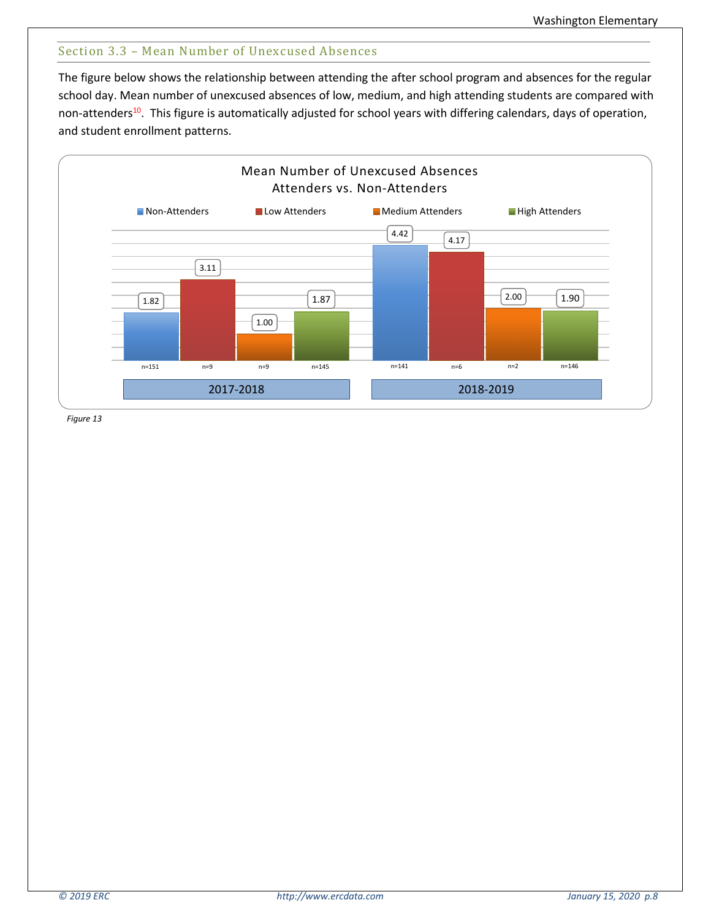# Section 3.3 – Mean Number of Unexcused Absences

The figure below shows the relationship between attending the after school program and absences for the regular school day. Mean number of unexcused absences of low, medium, and high attending students are compared with non-attenders<sup>10</sup>. This figure is automatically adjusted for school years with differing calendars, days of operation, and student enrollment patterns.

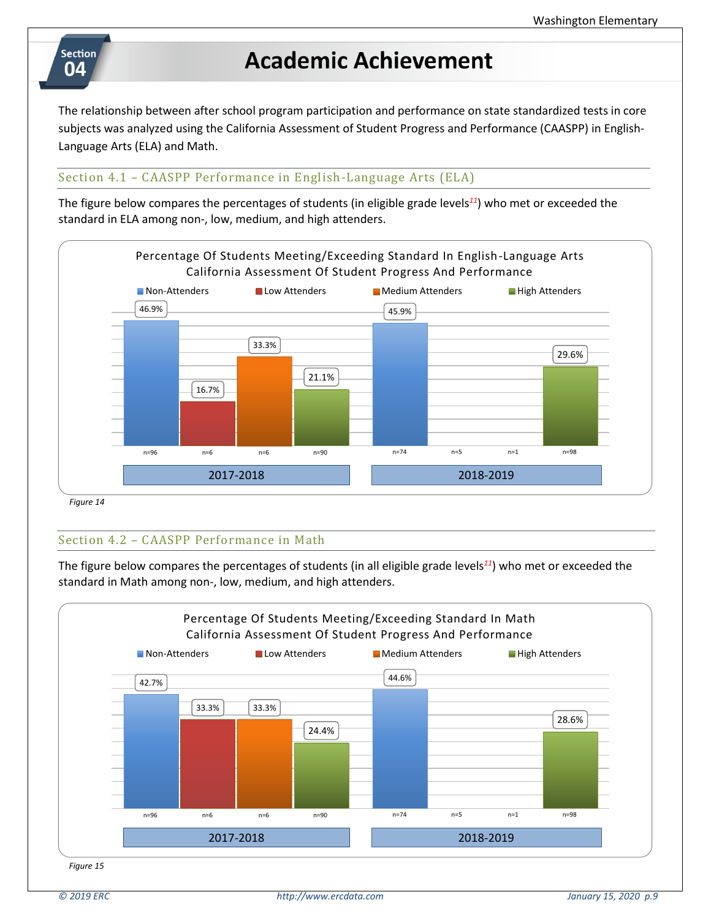# **Academic Achievement**

The relationship between after school program participation and performance on state standardized tests in core subjects was analyzed using the California Assessment of Student Progress and Performance (CAASPP) in English-Language Arts (ELA) and Math.

### Section 4.1 – CAASPP Performance in English-Language Arts (ELA)

The figure below compares the percentages of students (in eligible grade levels*<sup>11</sup>*) who met or exceeded the standard in ELA among non-, low, medium, and high attenders.



*Figure 14*

**Section** 04

# Section 4.2 – CAASPP Performance in Math

The figure below compares the percentages of students (in all eligible grade levels*<sup>11</sup>*) who met or exceeded the standard in Math among non-, low, medium, and high attenders.

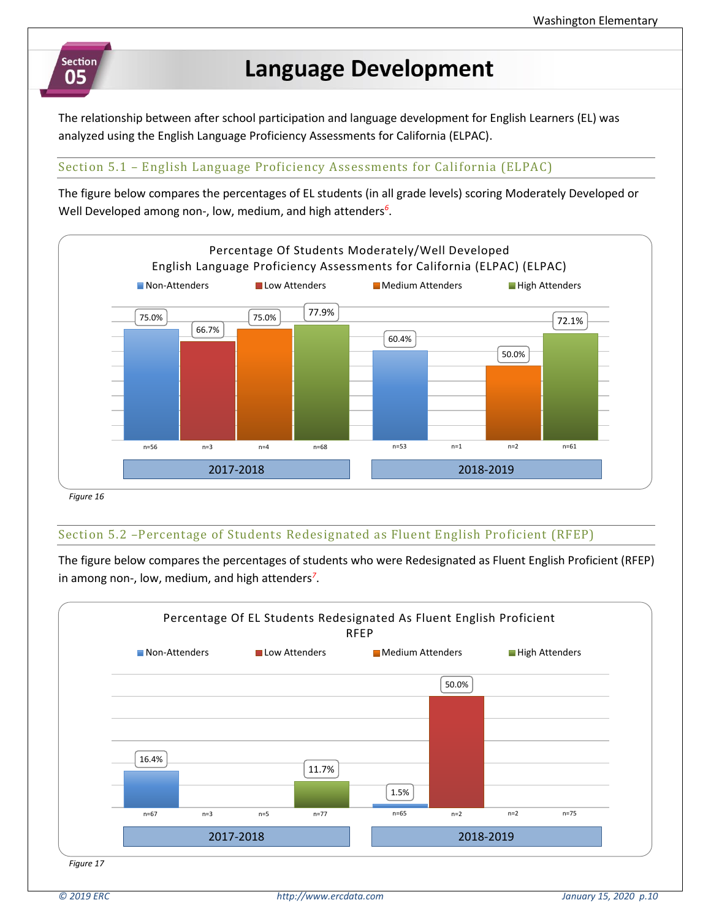# **Section** 05

# **Language Development**

The relationship between after school participation and language development for English Learners (EL) was analyzed using the English Language Proficiency Assessments for California (ELPAC).

# Section 5.1 – English Language Proficiency Assessments for California (ELPAC)

The figure below compares the percentages of EL students (in all grade levels) scoring Moderately Developed or Well Developed among non-, low, medium, and high attenders*<sup>6</sup>* .



# Section 5.2 –Percentage of Students Redesignated as Fluent English Proficient (RFEP)

The figure below compares the percentages of students who were Redesignated as Fluent English Proficient (RFEP) in among non-, low, medium, and high attenders*<sup>7</sup>* .

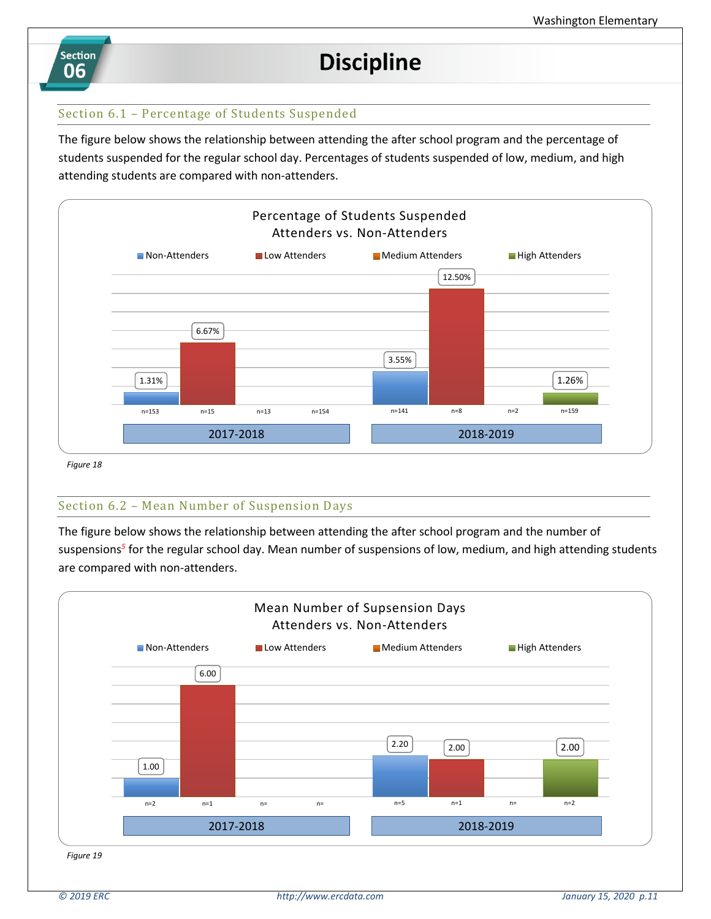

# **Discipline**

## Section 6.1 – Percentage of Students Suspended

The figure below shows the relationship between attending the after school program and the percentage of students suspended for the regular school day. Percentages of students suspended of low, medium, and high attending students are compared with non-attenders.



 *Figure 18*

#### Section 6.2 – Mean Number of Suspension Days

The figure below shows the relationship between attending the after school program and the number of suspensions*<sup>5</sup>* for the regular school day. Mean number of suspensions of low, medium, and high attending students are compared with non-attenders.

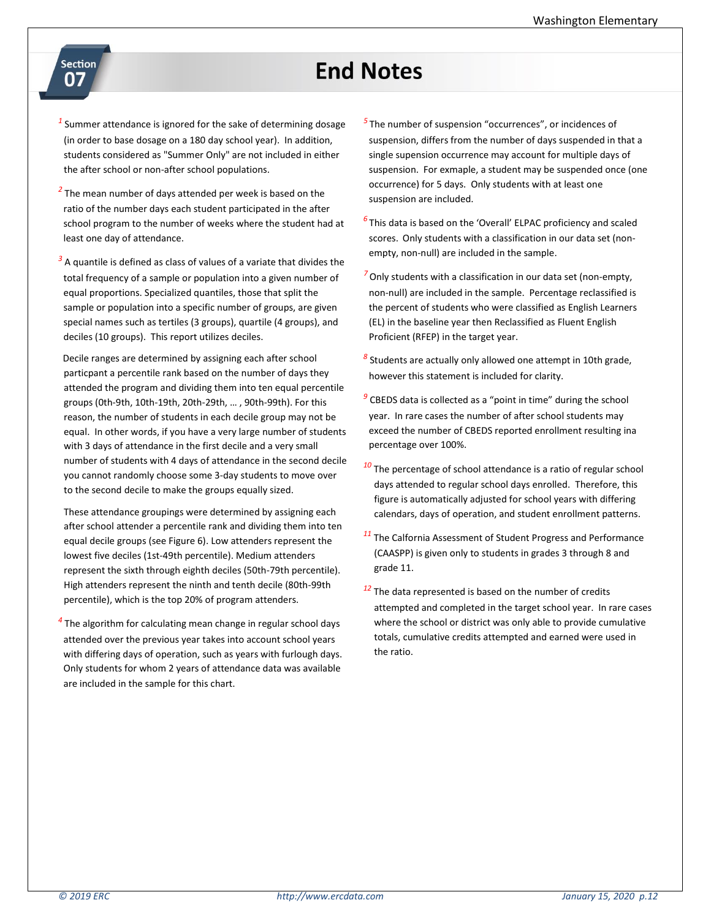# **End Notes**

- Section 07
- *1* Summer attendance is ignored for the sake of determining dosage (in order to base dosage on a 180 day school year). In addition, students considered as "Summer Only" are not included in either the after school or non-after school populations.
- <sup>2</sup> The mean number of days attended per week is based on the ratio of the number days each student participated in the after school program to the number of weeks where the student had at least one day of attendance.
- <sup>3</sup> A quantile is defined as class of values of a variate that divides the total frequency of a sample or population into a given number of equal proportions. Specialized quantiles, those that split the sample or population into a specific number of groups, are given special names such as tertiles (3 groups), quartile (4 groups), and deciles (10 groups). This report utilizes deciles.

 Decile ranges are determined by assigning each after school particpant a percentile rank based on the number of days they attended the program and dividing them into ten equal percentile groups (0th-9th, 10th-19th, 20th-29th, … , 90th-99th). For this reason, the number of students in each decile group may not be equal. In other words, if you have a very large number of students with 3 days of attendance in the first decile and a very small number of students with 4 days of attendance in the second decile you cannot randomly choose some 3-day students to move over to the second decile to make the groups equally sized.

These attendance groupings were determined by assigning each after school attender a percentile rank and dividing them into ten equal decile groups (see Figure 6). Low attenders represent the lowest five deciles (1st-49th percentile). Medium attenders represent the sixth through eighth deciles (50th-79th percentile). High attenders represent the ninth and tenth decile (80th-99th percentile), which is the top 20% of program attenders.

*4* The algorithm for calculating mean change in regular school days attended over the previous year takes into account school years with differing days of operation, such as years with furlough days. Only students for whom 2 years of attendance data was available are included in the sample for this chart.

- *5* The number of suspension "occurrences", or incidences of suspension, differs from the number of days suspended in that a single supension occurrence may account for multiple days of suspension. For exmaple, a student may be suspended once (one occurrence) for 5 days. Only students with at least one suspension are included.
- *6* This data is based on the 'Overall' ELPAC proficiency and scaled scores. Only students with a classification in our data set (nonempty, non-null) are included in the sample.
- *<sup>7</sup>* Only students with a classification in our data set (non-empty, non-null) are included in the sample. Percentage reclassified is the percent of students who were classified as English Learners (EL) in the baseline year then Reclassified as Fluent English Proficient (RFEP) in the target year.
- *8* Students are actually only allowed one attempt in 10th grade, however this statement is included for clarity.
- *9* CBEDS data is collected as a "point in time" during the school year. In rare cases the number of after school students may exceed the number of CBEDS reported enrollment resulting ina percentage over 100%.
- <sup>10</sup> The percentage of school attendance is a ratio of regular school days attended to regular school days enrolled. Therefore, this figure is automatically adjusted for school years with differing calendars, days of operation, and student enrollment patterns.
- *<sup>11</sup>* The Calfornia Assessment of Student Progress and Performance (CAASPP) is given only to students in grades 3 through 8 and grade 11.
- *<sup>12</sup>* The data represented is based on the number of credits attempted and completed in the target school year. In rare cases where the school or district was only able to provide cumulative totals, cumulative credits attempted and earned were used in the ratio.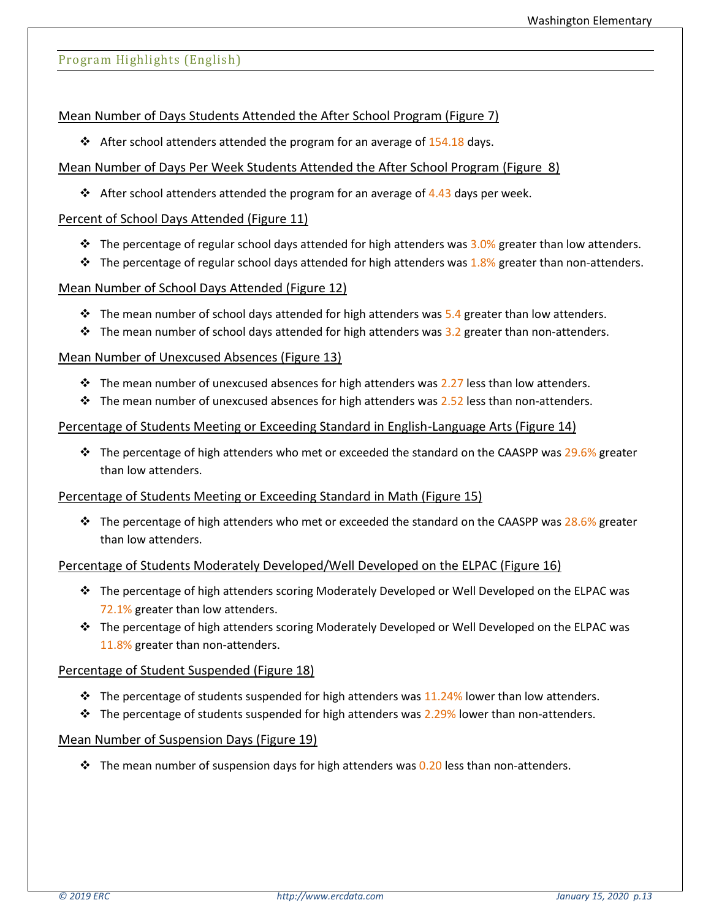## Program Highlights (English)

#### Mean Number of Days Students Attended the After School Program (Figure 7)

**❖** After school attenders attended the program for an average of  $154.18$  days.

## Mean Number of Days Per Week Students Attended the After School Program (Figure 8)

**❖** After school attenders attended the program for an average of  $4.43$  days per week.

### Percent of School Days Attended (Figure 11)

- **❖** The percentage of regular school days attended for high attenders was  $3.0%$  greater than low attenders.
- **❖** The percentage of regular school days attended for high attenders was  $1.8%$  greater than non-attenders.

### Mean Number of School Days Attended (Figure 12)

- $\div$  The mean number of school days attended for high attenders was 5.4 greater than low attenders.
- $\dots$  The mean number of school days attended for high attenders was 3.2 greater than non-attenders.

### Mean Number of Unexcused Absences (Figure 13)

- **❖** The mean number of unexcused absences for high attenders was  $2.27$  less than low attenders.
- **❖** The mean number of unexcused absences for high attenders was  $2.52$  less than non-attenders.

#### Percentage of Students Meeting or Exceeding Standard in English-Language Arts (Figure 14)

❖ The percentage of high attenders who met or exceeded the standard on the CAASPP was 29.6% greater than low attenders.

#### Percentage of Students Meeting or Exceeding Standard in Math (Figure 15)

 $\dots$  The percentage of high attenders who met or exceeded the standard on the CAASPP was 28.6% greater than low attenders.

#### Percentage of Students Moderately Developed/Well Developed on the ELPAC (Figure 16)

- ❖ The percentage of high attenders scoring Moderately Developed or Well Developed on the ELPAC was 72.1% greater than low attenders.
- ❖ The percentage of high attenders scoring Moderately Developed or Well Developed on the ELPAC was 11.8% greater than non-attenders.

#### Percentage of Student Suspended (Figure 18)

- $\div$  The percentage of students suspended for high attenders was 11.24% lower than low attenders.
- ❖ The percentage of students suspended for high attenders was 2.29% lower than non-attenders.

#### Mean Number of Suspension Days (Figure 19)

 $\dots$  The mean number of suspension days for high attenders was 0.20 less than non-attenders.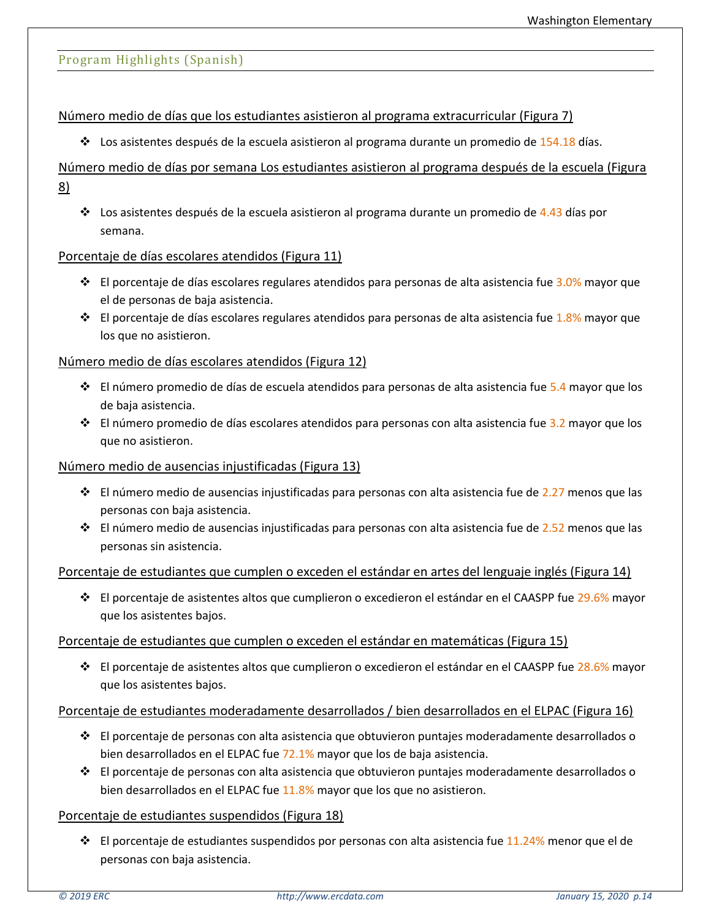### Program Highlights (Spanish)

#### Número medio de días que los estudiantes asistieron al programa extracurricular (Figura 7)

❖ Los asistentes después de la escuela asistieron al programa durante un promedio de 154.18 días.

# Número medio de días por semana Los estudiantes asistieron al programa después de la escuela (Figura 8)

❖ Los asistentes después de la escuela asistieron al programa durante un promedio de 4.43 días por semana.

#### Porcentaje de días escolares atendidos (Figura 11)

- ❖ El porcentaje de días escolares regulares atendidos para personas de alta asistencia fue 3.0% mayor que el de personas de baja asistencia.
- ❖ El porcentaje de días escolares regulares atendidos para personas de alta asistencia fue 1.8% mayor que los que no asistieron.

#### Número medio de días escolares atendidos (Figura 12)

- ❖ El número promedio de días de escuela atendidos para personas de alta asistencia fue 5.4 mayor que los de baja asistencia.
- ❖ El número promedio de días escolares atendidos para personas con alta asistencia fue 3.2 mayor que los que no asistieron.

#### Número medio de ausencias injustificadas (Figura 13)

- ❖ El número medio de ausencias injustificadas para personas con alta asistencia fue de 2.27 menos que las personas con baja asistencia.
- **❖** El número medio de ausencias injustificadas para personas con alta asistencia fue de 2.52 menos que las personas sin asistencia.

#### Porcentaje de estudiantes que cumplen o exceden el estándar en artes del lenguaje inglés (Figura 14)

❖ El porcentaje de asistentes altos que cumplieron o excedieron el estándar en el CAASPP fue 29.6% mayor que los asistentes bajos.

#### Porcentaje de estudiantes que cumplen o exceden el estándar en matemáticas (Figura 15)

❖ El porcentaje de asistentes altos que cumplieron o excedieron el estándar en el CAASPP fue 28.6% mayor que los asistentes bajos.

#### Porcentaje de estudiantes moderadamente desarrollados / bien desarrollados en el ELPAC (Figura 16)

- ❖ El porcentaje de personas con alta asistencia que obtuvieron puntajes moderadamente desarrollados o bien desarrollados en el ELPAC fue 72.1% mayor que los de baja asistencia.
- ❖ El porcentaje de personas con alta asistencia que obtuvieron puntajes moderadamente desarrollados o bien desarrollados en el ELPAC fue 11.8% mayor que los que no asistieron.

#### Porcentaje de estudiantes suspendidos (Figura 18)

 $♦$  El porcentaje de estudiantes suspendidos por personas con alta asistencia fue 11.24% menor que el de personas con baja asistencia.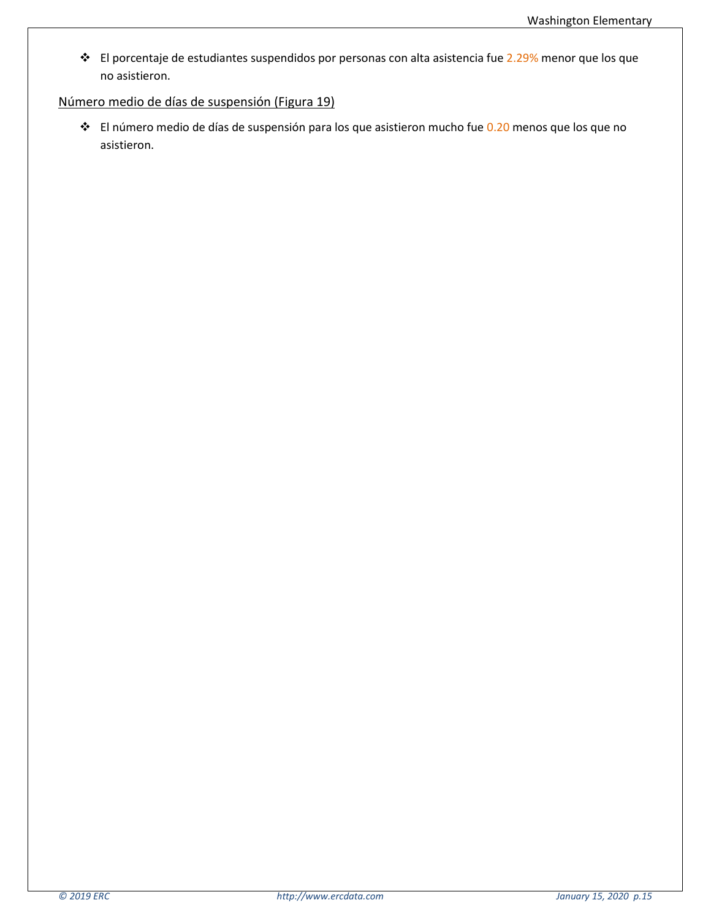❖ El porcentaje de estudiantes suspendidos por personas con alta asistencia fue 2.29% menor que los que no asistieron.

# Número medio de días de suspensión (Figura 19)

❖ El número medio de días de suspensión para los que asistieron mucho fue 0.20 menos que los que no asistieron.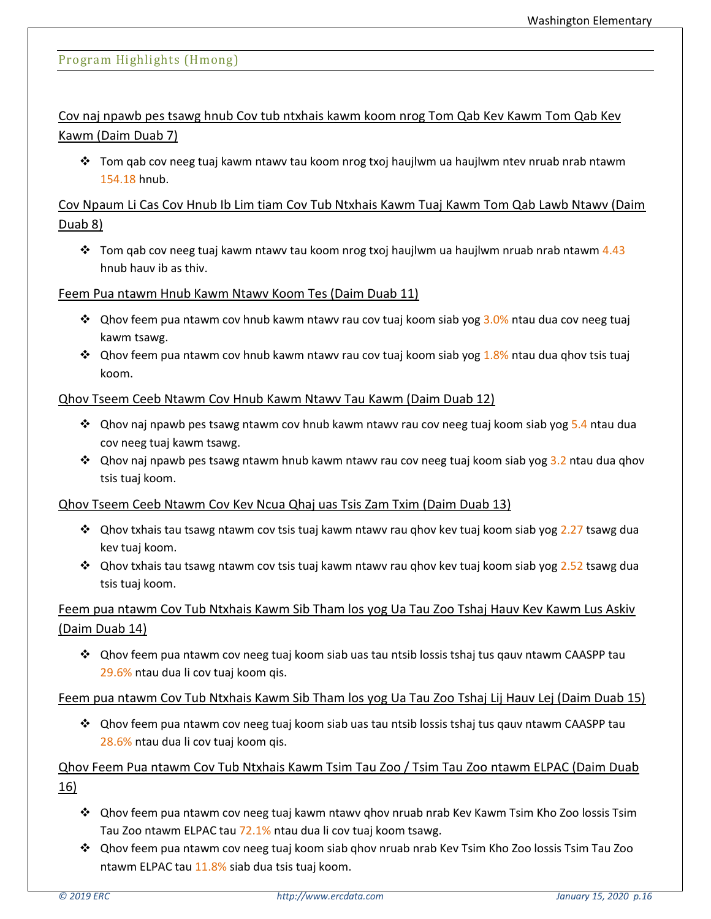# Program Highlights (Hmong)

Cov naj npawb pes tsawg hnub Cov tub ntxhais kawm koom nrog Tom Qab Kev Kawm Tom Qab Kev Kawm (Daim Duab 7)

❖ Tom qab cov neeg tuaj kawm ntawv tau koom nrog txoj haujlwm ua haujlwm ntev nruab nrab ntawm 154.18 hnub.

# Cov Npaum Li Cas Cov Hnub Ib Lim tiam Cov Tub Ntxhais Kawm Tuaj Kawm Tom Qab Lawb Ntawv (Daim Duab 8)

◆ Tom gab cov neeg tuaj kawm ntawv tau koom nrog txoj haujlwm ua haujlwm nruab nrab ntawm 4.43 hnub hauv ib as thiv.

Feem Pua ntawm Hnub Kawm Ntawv Koom Tes (Daim Duab 11)

- ❖ Qhov feem pua ntawm cov hnub kawm ntawv rau cov tuaj koom siab yog 3.0% ntau dua cov neeg tuaj kawm tsawg.
- ❖ Qhov feem pua ntawm cov hnub kawm ntawv rau cov tuaj koom siab yog 1.8% ntau dua qhov tsis tuaj koom.

#### Qhov Tseem Ceeb Ntawm Cov Hnub Kawm Ntawv Tau Kawm (Daim Duab 12)

- ❖ Qhov naj npawb pes tsawg ntawm cov hnub kawm ntawv rau cov neeg tuaj koom siab yog 5.4 ntau dua cov neeg tuaj kawm tsawg.
- ❖ Qhov naj npawb pes tsawg ntawm hnub kawm ntawv rau cov neeg tuaj koom siab yog 3.2 ntau dua qhov tsis tuaj koom.

#### Qhov Tseem Ceeb Ntawm Cov Kev Ncua Qhaj uas Tsis Zam Txim (Daim Duab 13)

- ❖ Qhov txhais tau tsawg ntawm cov tsis tuaj kawm ntawv rau qhov kev tuaj koom siab yog 2.27 tsawg dua kev tuaj koom.
- ❖ Qhov txhais tau tsawg ntawm cov tsis tuaj kawm ntawv rau qhov kev tuaj koom siab yog 2.52 tsawg dua tsis tuaj koom.

Feem pua ntawm Cov Tub Ntxhais Kawm Sib Tham los yog Ua Tau Zoo Tshaj Hauv Kev Kawm Lus Askiv (Daim Duab 14)

❖ Qhov feem pua ntawm cov neeg tuaj koom siab uas tau ntsib lossis tshaj tus qauv ntawm CAASPP tau 29.6% ntau dua li cov tuaj koom qis.

# Feem pua ntawm Cov Tub Ntxhais Kawm Sib Tham los yog Ua Tau Zoo Tshaj Lij Hauv Lej (Daim Duab 15)

❖ Qhov feem pua ntawm cov neeg tuaj koom siab uas tau ntsib lossis tshaj tus qauv ntawm CAASPP tau 28.6% ntau dua li cov tuaj koom qis.

Qhov Feem Pua ntawm Cov Tub Ntxhais Kawm Tsim Tau Zoo / Tsim Tau Zoo ntawm ELPAC (Daim Duab 16)

- ❖ Qhov feem pua ntawm cov neeg tuaj kawm ntawv qhov nruab nrab Kev Kawm Tsim Kho Zoo lossis Tsim Tau Zoo ntawm ELPAC tau 72.1% ntau dua li cov tuaj koom tsawg.
- ❖ Qhov feem pua ntawm cov neeg tuaj koom siab qhov nruab nrab Kev Tsim Kho Zoo lossis Tsim Tau Zoo ntawm ELPAC tau 11.8% siab dua tsis tuaj koom.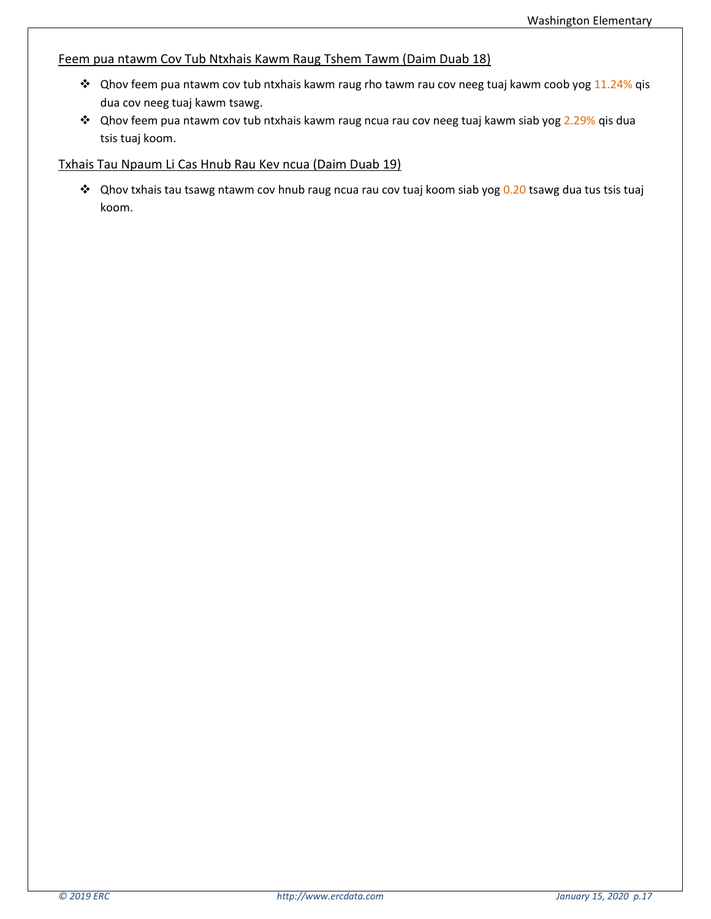## Feem pua ntawm Cov Tub Ntxhais Kawm Raug Tshem Tawm (Daim Duab 18)

- ❖ Qhov feem pua ntawm cov tub ntxhais kawm raug rho tawm rau cov neeg tuaj kawm coob yog 11.24% qis dua cov neeg tuaj kawm tsawg.
- ❖ Qhov feem pua ntawm cov tub ntxhais kawm raug ncua rau cov neeg tuaj kawm siab yog 2.29% qis dua tsis tuaj koom.

## Txhais Tau Npaum Li Cas Hnub Rau Kev ncua (Daim Duab 19)

❖ Qhov txhais tau tsawg ntawm cov hnub raug ncua rau cov tuaj koom siab yog 0.20 tsawg dua tus tsis tuaj koom.